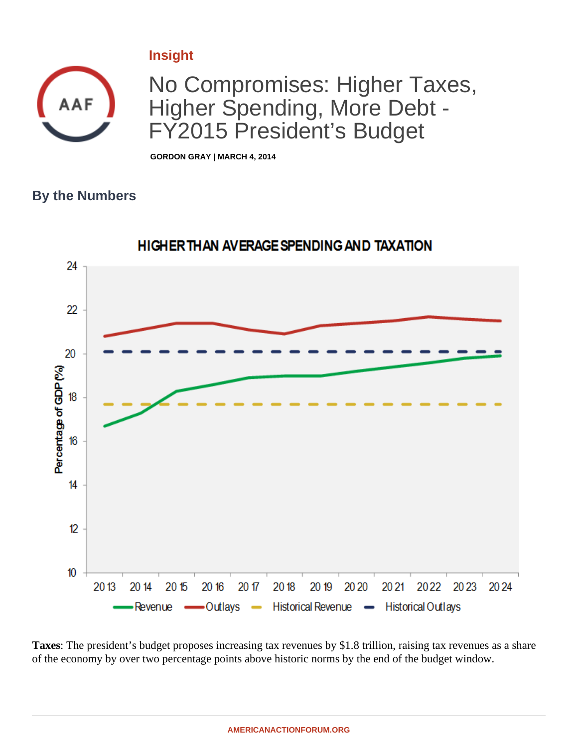## **Insight**



No Compromises: Higher Taxes, Higher Spending, More Debt - FY2015 President's Budget

**GORDON GRAY | MARCH 4, 2014**

## **By the Numbers**



**Taxes**: The president's budget proposes increasing tax revenues by \$1.8 trillion, raising tax revenues as a share of the economy by over two percentage points above historic norms by the end of the budget window.